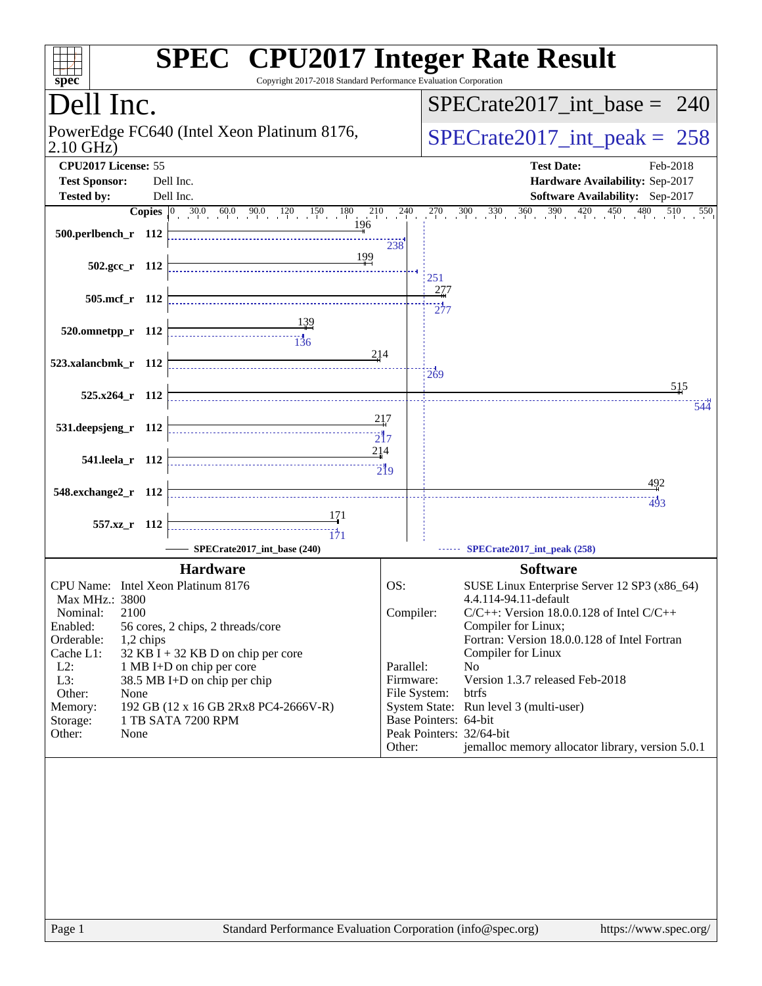| spec <sup>®</sup>                                                | <b>SPEC<sup>®</sup></b> CPU2017 Integer Rate Result<br>Copyright 2017-2018 Standard Performance Evaluation Corporation                           |                   |                                 |                                                                                                     |
|------------------------------------------------------------------|--------------------------------------------------------------------------------------------------------------------------------------------------|-------------------|---------------------------------|-----------------------------------------------------------------------------------------------------|
| Dell Inc.                                                        |                                                                                                                                                  |                   | $SPECrate2017\_int\_base = 240$ |                                                                                                     |
| PowerEdge FC640 (Intel Xeon Platinum 8176,<br>$2.10$ GHz)        |                                                                                                                                                  |                   |                                 | $SPECrate2017\_int\_peak = 258$                                                                     |
| CPU2017 License: 55<br><b>Test Sponsor:</b><br><b>Tested by:</b> | Dell Inc.<br>Dell Inc.                                                                                                                           |                   |                                 | <b>Test Date:</b><br>Feb-2018<br>Hardware Availability: Sep-2017<br>Software Availability: Sep-2017 |
|                                                                  |                                                                                                                                                  | $^{210}$ $^{240}$ |                                 | $270$ $300$ $330$ $360$ $390$ $420$ $450$<br>480<br>510<br>550                                      |
| 500.perlbench_r 112                                              | 196                                                                                                                                              | 238               |                                 |                                                                                                     |
| $502.\text{gcc r}$ 112                                           | 199                                                                                                                                              |                   | 251                             |                                                                                                     |
| 505.mcf_r 112                                                    |                                                                                                                                                  |                   | 277<br>$\overline{277}$         |                                                                                                     |
| 520.omnetpp_r 112                                                | $\begin{array}{c c c c c} \hline \text{} & \text{} & \text{} \\ \hline \text{} & \text{} & \text{} \\ \hline \text{136} & & \text{} \end{array}$ |                   |                                 |                                                                                                     |
| 523.xalancbmk_r 112                                              | 214                                                                                                                                              |                   | 269                             | 515                                                                                                 |
| 525.x264_r 112                                                   |                                                                                                                                                  | 217               |                                 | 544                                                                                                 |
| 531.deepsjeng_r 112                                              | 214                                                                                                                                              | $\overline{21}7$  |                                 |                                                                                                     |
| 541.leela_r 112                                                  |                                                                                                                                                  |                   |                                 | 492                                                                                                 |
| 548.exchange2_r 112                                              |                                                                                                                                                  |                   |                                 | 493                                                                                                 |
| 557.xz_r 112                                                     |                                                                                                                                                  |                   |                                 |                                                                                                     |
|                                                                  | SPECrate2017 int base (240)                                                                                                                      |                   |                                 | SPECrate2017_int_peak (258)                                                                         |
|                                                                  | <b>Hardware</b>                                                                                                                                  |                   |                                 | <b>Software</b>                                                                                     |
| CPU Name: Intel Xeon Platinum 8176                               |                                                                                                                                                  | OS:               |                                 | SUSE Linux Enterprise Server 12 SP3 (x86_64)                                                        |
| Max MHz.: 3800                                                   |                                                                                                                                                  |                   |                                 | 4.4.114-94.11-default                                                                               |
| 2100<br>Nominal:<br>Enabled:                                     |                                                                                                                                                  | Compiler:         |                                 | $C/C++$ : Version 18.0.0.128 of Intel $C/C++$<br>Compiler for Linux;                                |
| Orderable:<br>1,2 chips                                          | 56 cores, 2 chips, 2 threads/core                                                                                                                |                   |                                 | Fortran: Version 18.0.0.128 of Intel Fortran                                                        |
| Cache L1:                                                        | 32 KB I + 32 KB D on chip per core                                                                                                               |                   |                                 | Compiler for Linux                                                                                  |
| $L2$ :<br>1 MB I+D on chip per core                              |                                                                                                                                                  |                   | Parallel:<br>Firmware:          | N <sub>0</sub><br>Version 1.3.7 released Feb-2018                                                   |
| Other:<br>None                                                   | L3:<br>38.5 MB I+D on chip per chip                                                                                                              |                   |                                 | btrfs                                                                                               |
| Memory:                                                          | 192 GB (12 x 16 GB 2Rx8 PC4-2666V-R)                                                                                                             |                   |                                 | System State: Run level 3 (multi-user)                                                              |
| Storage:<br>Other:<br>None                                       | 1 TB SATA 7200 RPM                                                                                                                               |                   | Base Pointers: 64-bit           | Peak Pointers: 32/64-bit                                                                            |
|                                                                  |                                                                                                                                                  | Other:            |                                 | jemalloc memory allocator library, version 5.0.1                                                    |
|                                                                  |                                                                                                                                                  |                   |                                 |                                                                                                     |
|                                                                  |                                                                                                                                                  |                   |                                 |                                                                                                     |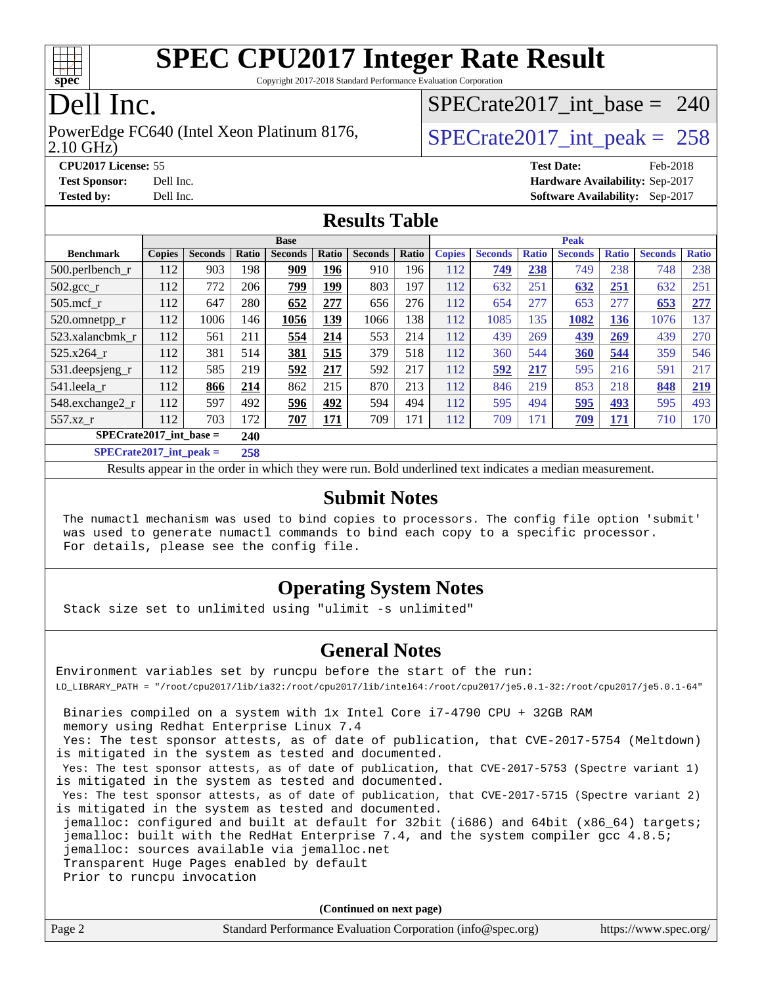

Copyright 2017-2018 Standard Performance Evaluation Corporation

## Dell Inc.

2.10 GHz) PowerEdge FC640 (Intel Xeon Platinum 8176,  $\vert$  [SPECrate2017\\_int\\_peak =](http://www.spec.org/auto/cpu2017/Docs/result-fields.html#SPECrate2017intpeak) 258

[SPECrate2017\\_int\\_base =](http://www.spec.org/auto/cpu2017/Docs/result-fields.html#SPECrate2017intbase) 240

**[CPU2017 License:](http://www.spec.org/auto/cpu2017/Docs/result-fields.html#CPU2017License)** 55 **[Test Date:](http://www.spec.org/auto/cpu2017/Docs/result-fields.html#TestDate)** Feb-2018 **[Test Sponsor:](http://www.spec.org/auto/cpu2017/Docs/result-fields.html#TestSponsor)** Dell Inc. **[Hardware Availability:](http://www.spec.org/auto/cpu2017/Docs/result-fields.html#HardwareAvailability)** Sep-2017 **[Tested by:](http://www.spec.org/auto/cpu2017/Docs/result-fields.html#Testedby)** Dell Inc. **[Software Availability:](http://www.spec.org/auto/cpu2017/Docs/result-fields.html#SoftwareAvailability)** Sep-2017

#### **[Results Table](http://www.spec.org/auto/cpu2017/Docs/result-fields.html#ResultsTable)**

|                                          | <b>Base</b>   |                |       |                | <b>Peak</b> |                |       |               |                |              |                |              |                |              |
|------------------------------------------|---------------|----------------|-------|----------------|-------------|----------------|-------|---------------|----------------|--------------|----------------|--------------|----------------|--------------|
| <b>Benchmark</b>                         | <b>Copies</b> | <b>Seconds</b> | Ratio | <b>Seconds</b> | Ratio       | <b>Seconds</b> | Ratio | <b>Copies</b> | <b>Seconds</b> | <b>Ratio</b> | <b>Seconds</b> | <b>Ratio</b> | <b>Seconds</b> | <b>Ratio</b> |
| $500.$ perlbench_r                       | 112           | 903            | 198   | 909            | 196         | 910            | 196   | 112           | 749            | 238          | 749            | 238          | 748            | 238          |
| $502.\text{gcc\_r}$                      | 112           | 772            | 206   | 799            | 199         | 803            | 197   | 112           | 632            | 251          | 632            | 251          | 632            | 251          |
| $505$ .mcf r                             | 112           | 647            | 280   | 652            | 277         | 656            | 276   | 112           | 654            | 277          | 653            | 277          | 653            | 277          |
| 520.omnetpp_r                            | 112           | 1006           | 146   | 1056           | 139         | 1066           | 138   | 112           | 1085           | 135          | 1082           | 136          | 1076           | 137          |
| 523.xalancbmk_r                          | 112           | 561            | 211   | 554            | 214         | 553            | 214   | 112           | 439            | 269          | <u>439</u>     | 269          | 439            | 270          |
| 525.x264 r                               | 112           | 381            | 514   | 381            | 515         | 379            | 518   | 112           | 360            | 544          | 360            | 544          | 359            | 546          |
| 531.deepsjeng_r                          | 112           | 585            | 219   | 592            | 217         | 592            | 217   | 112           | 592            | 217          | 595            | 216          | 591            | 217          |
| 541.leela r                              | 112           | 866            | 214   | 862            | 215         | 870            | 213   | 112           | 846            | 219          | 853            | 218          | 848            | 219          |
| 548.exchange2_r                          | 112           | 597            | 492   | 596            | 492         | 594            | 494   | 112           | 595            | 494          | 595            | 493          | 595            | 493          |
| 557.xz r                                 | 112           | 703            | 172   | 707            | 171         | 709            | 171   | 112           | 709            | 171          | 709            | 171          | 710            | 170          |
| $SPECrate2017$ int base =<br>240         |               |                |       |                |             |                |       |               |                |              |                |              |                |              |
| $CDFC_{\text{tot}} + 2017$ intervals $=$ |               |                | 250   |                |             |                |       |               |                |              |                |              |                |              |

**[SPECrate2017\\_int\\_peak =](http://www.spec.org/auto/cpu2017/Docs/result-fields.html#SPECrate2017intpeak) 258**

Results appear in the [order in which they were run](http://www.spec.org/auto/cpu2017/Docs/result-fields.html#RunOrder). Bold underlined text [indicates a median measurement](http://www.spec.org/auto/cpu2017/Docs/result-fields.html#Median).

#### **[Submit Notes](http://www.spec.org/auto/cpu2017/Docs/result-fields.html#SubmitNotes)**

 The numactl mechanism was used to bind copies to processors. The config file option 'submit' was used to generate numactl commands to bind each copy to a specific processor. For details, please see the config file.

### **[Operating System Notes](http://www.spec.org/auto/cpu2017/Docs/result-fields.html#OperatingSystemNotes)**

Stack size set to unlimited using "ulimit -s unlimited"

#### **[General Notes](http://www.spec.org/auto/cpu2017/Docs/result-fields.html#GeneralNotes)**

Environment variables set by runcpu before the start of the run: LD\_LIBRARY\_PATH = "/root/cpu2017/lib/ia32:/root/cpu2017/lib/intel64:/root/cpu2017/je5.0.1-32:/root/cpu2017/je5.0.1-64" Binaries compiled on a system with 1x Intel Core i7-4790 CPU + 32GB RAM memory using Redhat Enterprise Linux 7.4 Yes: The test sponsor attests, as of date of publication, that CVE-2017-5754 (Meltdown) is mitigated in the system as tested and documented. Yes: The test sponsor attests, as of date of publication, that CVE-2017-5753 (Spectre variant 1) is mitigated in the system as tested and documented. Yes: The test sponsor attests, as of date of publication, that CVE-2017-5715 (Spectre variant 2) is mitigated in the system as tested and documented. jemalloc: configured and built at default for 32bit (i686) and 64bit (x86\_64) targets; jemalloc: built with the RedHat Enterprise 7.4, and the system compiler gcc 4.8.5; jemalloc: sources available via jemalloc.net Transparent Huge Pages enabled by default Prior to runcpu invocation

**(Continued on next page)**

| Page 2 | Standard Performance Evaluation Corporation (info@spec.org) | https://www.spec.org/ |
|--------|-------------------------------------------------------------|-----------------------|
|--------|-------------------------------------------------------------|-----------------------|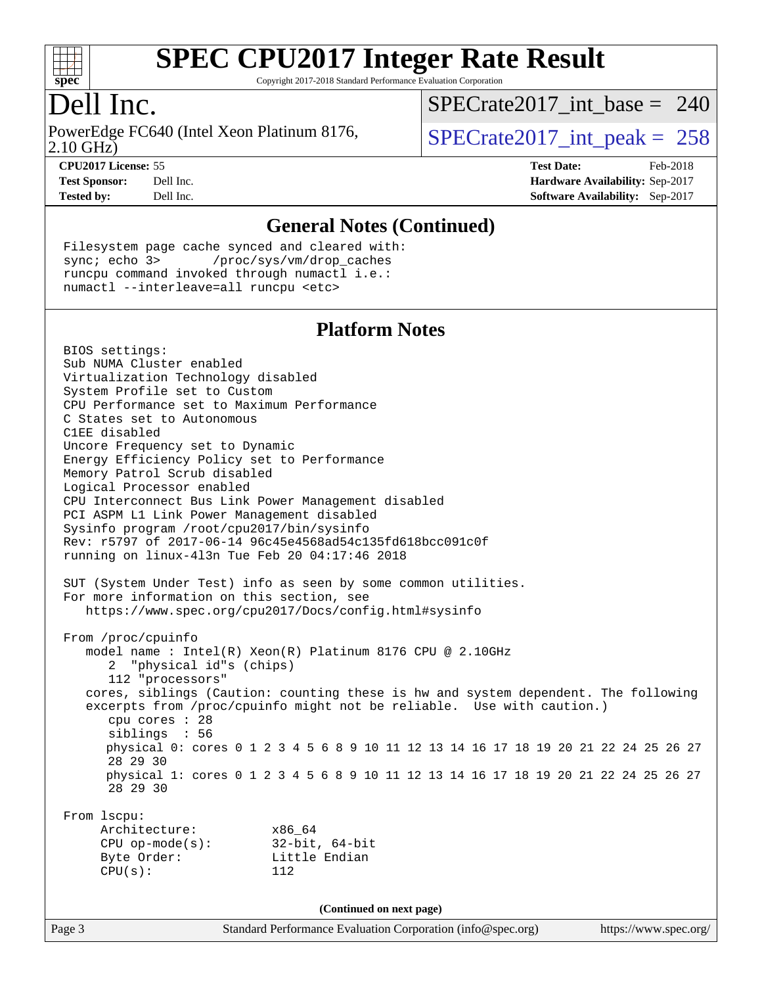

Copyright 2017-2018 Standard Performance Evaluation Corporation

### Dell Inc.

2.10 GHz) PowerEdge FC640 (Intel Xeon Platinum 8176,  $\vert$  [SPECrate2017\\_int\\_peak =](http://www.spec.org/auto/cpu2017/Docs/result-fields.html#SPECrate2017intpeak) 258

[SPECrate2017\\_int\\_base =](http://www.spec.org/auto/cpu2017/Docs/result-fields.html#SPECrate2017intbase) 240

**[CPU2017 License:](http://www.spec.org/auto/cpu2017/Docs/result-fields.html#CPU2017License)** 55 **[Test Date:](http://www.spec.org/auto/cpu2017/Docs/result-fields.html#TestDate)** Feb-2018 **[Test Sponsor:](http://www.spec.org/auto/cpu2017/Docs/result-fields.html#TestSponsor)** Dell Inc. **[Hardware Availability:](http://www.spec.org/auto/cpu2017/Docs/result-fields.html#HardwareAvailability)** Sep-2017 **[Tested by:](http://www.spec.org/auto/cpu2017/Docs/result-fields.html#Testedby)** Dell Inc. **[Software Availability:](http://www.spec.org/auto/cpu2017/Docs/result-fields.html#SoftwareAvailability)** Sep-2017

#### **[General Notes \(Continued\)](http://www.spec.org/auto/cpu2017/Docs/result-fields.html#GeneralNotes)**

 Filesystem page cache synced and cleared with: sync; echo 3> /proc/sys/vm/drop\_caches runcpu command invoked through numactl i.e.: numactl --interleave=all runcpu <etc>

#### **[Platform Notes](http://www.spec.org/auto/cpu2017/Docs/result-fields.html#PlatformNotes)**

Page 3 Standard Performance Evaluation Corporation [\(info@spec.org\)](mailto:info@spec.org) <https://www.spec.org/> BIOS settings: Sub NUMA Cluster enabled Virtualization Technology disabled System Profile set to Custom CPU Performance set to Maximum Performance C States set to Autonomous C1EE disabled Uncore Frequency set to Dynamic Energy Efficiency Policy set to Performance Memory Patrol Scrub disabled Logical Processor enabled CPU Interconnect Bus Link Power Management disabled PCI ASPM L1 Link Power Management disabled Sysinfo program /root/cpu2017/bin/sysinfo Rev: r5797 of 2017-06-14 96c45e4568ad54c135fd618bcc091c0f running on linux-4l3n Tue Feb 20 04:17:46 2018 SUT (System Under Test) info as seen by some common utilities. For more information on this section, see <https://www.spec.org/cpu2017/Docs/config.html#sysinfo> From /proc/cpuinfo model name : Intel(R) Xeon(R) Platinum 8176 CPU @ 2.10GHz 2 "physical id"s (chips) 112 "processors" cores, siblings (Caution: counting these is hw and system dependent. The following excerpts from /proc/cpuinfo might not be reliable. Use with caution.) cpu cores : 28 siblings : 56 physical 0: cores 0 1 2 3 4 5 6 8 9 10 11 12 13 14 16 17 18 19 20 21 22 24 25 26 27 28 29 30 physical 1: cores 0 1 2 3 4 5 6 8 9 10 11 12 13 14 16 17 18 19 20 21 22 24 25 26 27 28 29 30 From lscpu: Architecture: x86\_64 CPU op-mode(s): 32-bit, 64-bit Byte Order: Little Endian CPU(s): 112 **(Continued on next page)**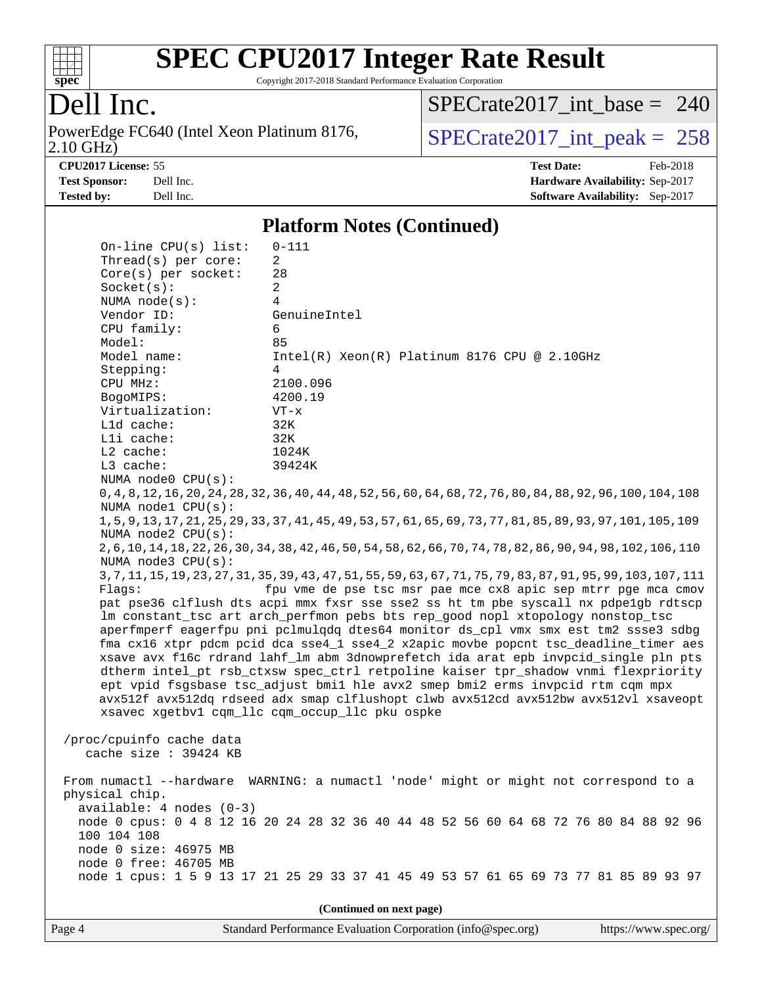

Copyright 2017-2018 Standard Performance Evaluation Corporation

### Dell Inc.

2.10 GHz) PowerEdge FC640 (Intel Xeon Platinum 8176,  $SPECrate2017\_int\_peak = 258$ 

[SPECrate2017\\_int\\_base =](http://www.spec.org/auto/cpu2017/Docs/result-fields.html#SPECrate2017intbase) 240

**[CPU2017 License:](http://www.spec.org/auto/cpu2017/Docs/result-fields.html#CPU2017License)** 55 **[Test Date:](http://www.spec.org/auto/cpu2017/Docs/result-fields.html#TestDate)** Feb-2018 **[Test Sponsor:](http://www.spec.org/auto/cpu2017/Docs/result-fields.html#TestSponsor)** Dell Inc. **[Hardware Availability:](http://www.spec.org/auto/cpu2017/Docs/result-fields.html#HardwareAvailability)** Sep-2017 **[Tested by:](http://www.spec.org/auto/cpu2017/Docs/result-fields.html#Testedby)** Dell Inc. **[Software Availability:](http://www.spec.org/auto/cpu2017/Docs/result-fields.html#SoftwareAvailability)** Sep-2017

#### **[Platform Notes \(Continued\)](http://www.spec.org/auto/cpu2017/Docs/result-fields.html#PlatformNotes)**

| $On$ -line CPU $(s)$ list:                                                           | $0 - 111$                                                                                                       |  |  |  |  |  |
|--------------------------------------------------------------------------------------|-----------------------------------------------------------------------------------------------------------------|--|--|--|--|--|
| Thread(s) per core:                                                                  | 2                                                                                                               |  |  |  |  |  |
| $Core(s)$ per socket:                                                                | 28                                                                                                              |  |  |  |  |  |
| Socket(s):                                                                           | 2                                                                                                               |  |  |  |  |  |
| NUMA $node(s):$                                                                      | $\overline{4}$                                                                                                  |  |  |  |  |  |
| Vendor ID:                                                                           | GenuineIntel                                                                                                    |  |  |  |  |  |
| CPU family:                                                                          | 6                                                                                                               |  |  |  |  |  |
| Model:                                                                               | 85                                                                                                              |  |  |  |  |  |
| Model name:                                                                          | $Intel(R) Xeon(R) Platinum 8176 CPU @ 2.10GHz$                                                                  |  |  |  |  |  |
| Stepping:                                                                            | 4                                                                                                               |  |  |  |  |  |
| CPU MHz:                                                                             | 2100.096                                                                                                        |  |  |  |  |  |
| BogoMIPS:<br>Virtualization:                                                         | 4200.19                                                                                                         |  |  |  |  |  |
| L1d cache:                                                                           | $VT - x$<br>32K                                                                                                 |  |  |  |  |  |
| Lli cache:                                                                           | 32K                                                                                                             |  |  |  |  |  |
| $L2$ cache:                                                                          | 1024K                                                                                                           |  |  |  |  |  |
| L3 cache:                                                                            | 39424K                                                                                                          |  |  |  |  |  |
| NUMA node0 CPU(s):                                                                   |                                                                                                                 |  |  |  |  |  |
|                                                                                      | 0, 4, 8, 12, 16, 20, 24, 28, 32, 36, 40, 44, 48, 52, 56, 60, 64, 68, 72, 76, 80, 84, 88, 92, 96, 100, 104, 108  |  |  |  |  |  |
| NUMA nodel CPU(s):                                                                   |                                                                                                                 |  |  |  |  |  |
|                                                                                      | 1, 5, 9, 13, 17, 21, 25, 29, 33, 37, 41, 45, 49, 53, 57, 61, 65, 69, 73, 77, 81, 85, 89, 93, 97, 101, 105, 109  |  |  |  |  |  |
| NUMA $node2$ $CPU(s)$ :                                                              |                                                                                                                 |  |  |  |  |  |
|                                                                                      | 2,6,10,14,18,22,26,30,34,38,42,46,50,54,58,62,66,70,74,78,82,86,90,94,98,102,106,110                            |  |  |  |  |  |
| NUMA node3 CPU(s):                                                                   |                                                                                                                 |  |  |  |  |  |
|                                                                                      | 3, 7, 11, 15, 19, 23, 27, 31, 35, 39, 43, 47, 51, 55, 59, 63, 67, 71, 75, 79, 83, 87, 91, 95, 99, 103, 107, 111 |  |  |  |  |  |
| fpu vme de pse tsc msr pae mce cx8 apic sep mtrr pge mca cmov<br>Flaqs:              |                                                                                                                 |  |  |  |  |  |
| pat pse36 clflush dts acpi mmx fxsr sse sse2 ss ht tm pbe syscall nx pdpelgb rdtscp  |                                                                                                                 |  |  |  |  |  |
|                                                                                      | lm constant_tsc art arch_perfmon pebs bts rep_good nopl xtopology nonstop_tsc                                   |  |  |  |  |  |
|                                                                                      | aperfmperf eagerfpu pni pclmulqdq dtes64 monitor ds_cpl vmx smx est tm2 ssse3 sdbg                              |  |  |  |  |  |
|                                                                                      | fma cx16 xtpr pdcm pcid dca sse4_1 sse4_2 x2apic movbe popcnt tsc_deadline_timer aes                            |  |  |  |  |  |
| xsave avx f16c rdrand lahf_lm abm 3dnowprefetch ida arat epb invpcid_single pln pts  |                                                                                                                 |  |  |  |  |  |
| dtherm intel_pt rsb_ctxsw spec_ctrl retpoline kaiser tpr_shadow vnmi flexpriority    |                                                                                                                 |  |  |  |  |  |
| ept vpid fsgsbase tsc_adjust bmil hle avx2 smep bmi2 erms invpcid rtm cqm mpx        |                                                                                                                 |  |  |  |  |  |
| avx512f avx512dq rdseed adx smap clflushopt clwb avx512cd avx512bw avx512vl xsaveopt |                                                                                                                 |  |  |  |  |  |
|                                                                                      | xsavec xgetbv1 cqm_llc cqm_occup_llc pku ospke                                                                  |  |  |  |  |  |
| /proc/cpuinfo cache data                                                             |                                                                                                                 |  |  |  |  |  |
| cache size : 39424 KB                                                                |                                                                                                                 |  |  |  |  |  |
|                                                                                      |                                                                                                                 |  |  |  |  |  |
| From numactl --hardware                                                              | WARNING: a numactl 'node' might or might not correspond to a                                                    |  |  |  |  |  |
| physical chip.                                                                       |                                                                                                                 |  |  |  |  |  |
| $available: 4 nodes (0-3)$                                                           |                                                                                                                 |  |  |  |  |  |
|                                                                                      | node 0 cpus: 0 4 8 12 16 20 24 28 32 36 40 44 48 52 56 60 64 68 72 76 80 84 88 92 96                            |  |  |  |  |  |
| 100 104 108                                                                          |                                                                                                                 |  |  |  |  |  |
| node 0 size: 46975 MB                                                                |                                                                                                                 |  |  |  |  |  |
| node 0 free: 46705 MB                                                                |                                                                                                                 |  |  |  |  |  |
|                                                                                      | node 1 cpus: 1 5 9 13 17 21 25 29 33 37 41 45 49 53 57 61 65 69 73 77 81 85 89 93 97                            |  |  |  |  |  |
|                                                                                      |                                                                                                                 |  |  |  |  |  |
| (Continued on next page)                                                             |                                                                                                                 |  |  |  |  |  |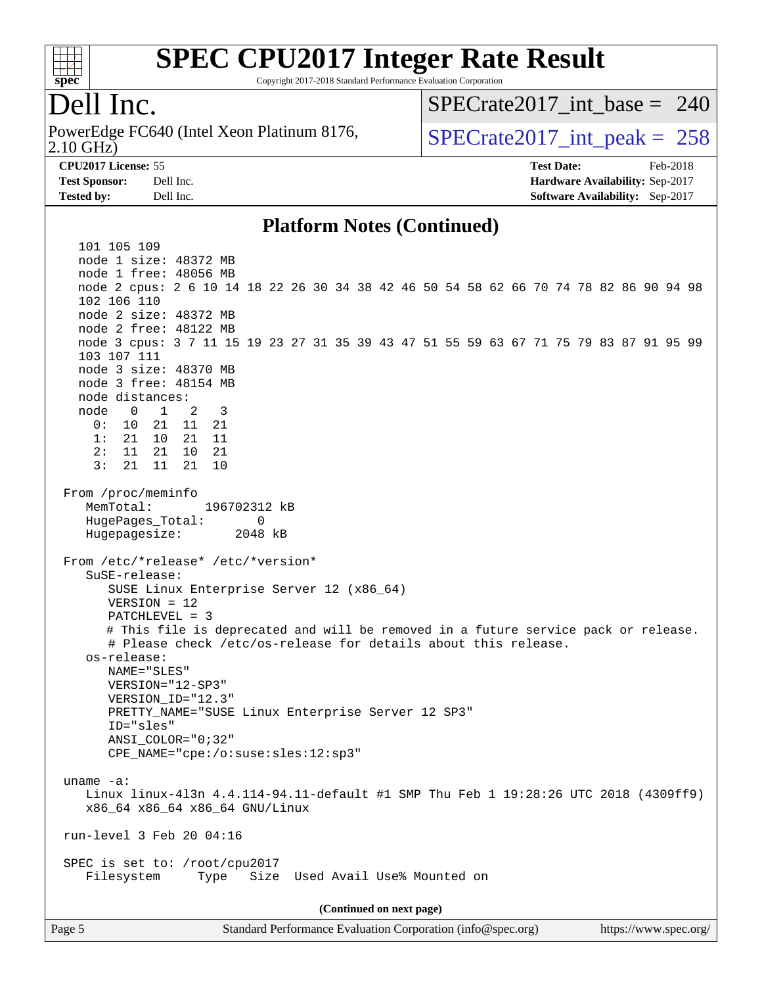

Copyright 2017-2018 Standard Performance Evaluation Corporation

### Dell Inc.

2.10 GHz) PowerEdge FC640 (Intel Xeon Platinum 8176,  $\vert$  [SPECrate2017\\_int\\_peak =](http://www.spec.org/auto/cpu2017/Docs/result-fields.html#SPECrate2017intpeak) 258

[SPECrate2017\\_int\\_base =](http://www.spec.org/auto/cpu2017/Docs/result-fields.html#SPECrate2017intbase) 240

**[CPU2017 License:](http://www.spec.org/auto/cpu2017/Docs/result-fields.html#CPU2017License)** 55 **[Test Date:](http://www.spec.org/auto/cpu2017/Docs/result-fields.html#TestDate)** Feb-2018 **[Test Sponsor:](http://www.spec.org/auto/cpu2017/Docs/result-fields.html#TestSponsor)** Dell Inc. **[Hardware Availability:](http://www.spec.org/auto/cpu2017/Docs/result-fields.html#HardwareAvailability)** Sep-2017 **[Tested by:](http://www.spec.org/auto/cpu2017/Docs/result-fields.html#Testedby)** Dell Inc. **[Software Availability:](http://www.spec.org/auto/cpu2017/Docs/result-fields.html#SoftwareAvailability)** Sep-2017

#### **[Platform Notes \(Continued\)](http://www.spec.org/auto/cpu2017/Docs/result-fields.html#PlatformNotes)**

 101 105 109 node 1 size: 48372 MB node 1 free: 48056 MB node 2 cpus: 2 6 10 14 18 22 26 30 34 38 42 46 50 54 58 62 66 70 74 78 82 86 90 94 98 102 106 110 node 2 size: 48372 MB node 2 free: 48122 MB node 3 cpus: 3 7 11 15 19 23 27 31 35 39 43 47 51 55 59 63 67 71 75 79 83 87 91 95 99 103 107 111 node 3 size: 48370 MB node 3 free: 48154 MB node distances: node 0 1 2 3 0: 10 21 11 21 1: 21 10 21 11 2: 11 21 10 21 3: 21 11 21 10 From /proc/meminfo MemTotal: 196702312 kB HugePages\_Total: 0 Hugepagesize: 2048 kB From /etc/\*release\* /etc/\*version\* SuSE-release: SUSE Linux Enterprise Server 12 (x86\_64) VERSION = 12 PATCHLEVEL = 3 # This file is deprecated and will be removed in a future service pack or release. # Please check /etc/os-release for details about this release. os-release: NAME="SLES" VERSION="12-SP3" VERSION\_ID="12.3" PRETTY\_NAME="SUSE Linux Enterprise Server 12 SP3" ID="sles" ANSI\_COLOR="0;32" CPE\_NAME="cpe:/o:suse:sles:12:sp3" uname -a: Linux linux-4l3n 4.4.114-94.11-default #1 SMP Thu Feb 1 19:28:26 UTC 2018 (4309ff9) x86\_64 x86\_64 x86\_64 GNU/Linux run-level 3 Feb 20 04:16 SPEC is set to: /root/cpu2017 Filesystem Type Size Used Avail Use% Mounted on **(Continued on next page)**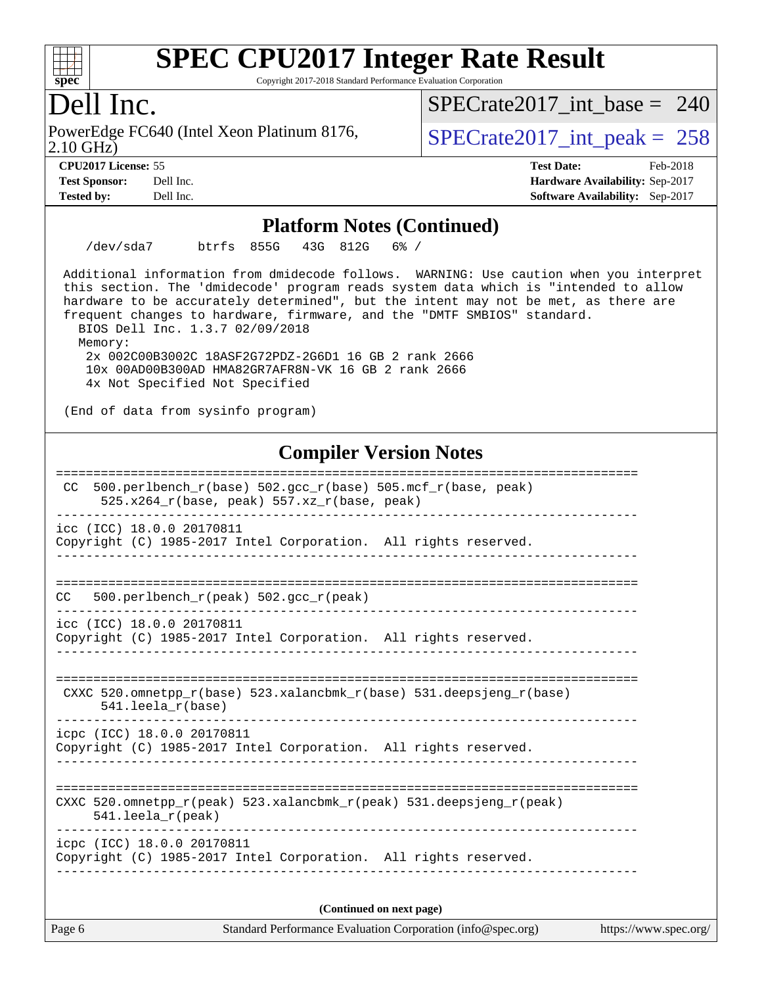

Copyright 2017-2018 Standard Performance Evaluation Corporation

### Dell Inc.

2.10 GHz) PowerEdge FC640 (Intel Xeon Platinum 8176,  $\vert$  [SPECrate2017\\_int\\_peak =](http://www.spec.org/auto/cpu2017/Docs/result-fields.html#SPECrate2017intpeak) 258

[SPECrate2017\\_int\\_base =](http://www.spec.org/auto/cpu2017/Docs/result-fields.html#SPECrate2017intbase) 240

**[Tested by:](http://www.spec.org/auto/cpu2017/Docs/result-fields.html#Testedby)** Dell Inc. **[Software Availability:](http://www.spec.org/auto/cpu2017/Docs/result-fields.html#SoftwareAvailability)** Sep-2017

**[CPU2017 License:](http://www.spec.org/auto/cpu2017/Docs/result-fields.html#CPU2017License)** 55 **[Test Date:](http://www.spec.org/auto/cpu2017/Docs/result-fields.html#TestDate)** Feb-2018 **[Test Sponsor:](http://www.spec.org/auto/cpu2017/Docs/result-fields.html#TestSponsor)** Dell Inc. **[Hardware Availability:](http://www.spec.org/auto/cpu2017/Docs/result-fields.html#HardwareAvailability)** Sep-2017

#### **[Platform Notes \(Continued\)](http://www.spec.org/auto/cpu2017/Docs/result-fields.html#PlatformNotes)**

/dev/sda7 btrfs 855G 43G 812G 6% /

 Additional information from dmidecode follows. WARNING: Use caution when you interpret this section. The 'dmidecode' program reads system data which is "intended to allow hardware to be accurately determined", but the intent may not be met, as there are frequent changes to hardware, firmware, and the "DMTF SMBIOS" standard.

 BIOS Dell Inc. 1.3.7 02/09/2018 Memory:

 2x 002C00B3002C 18ASF2G72PDZ-2G6D1 16 GB 2 rank 2666 10x 00AD00B300AD HMA82GR7AFR8N-VK 16 GB 2 rank 2666 4x Not Specified Not Specified

(End of data from sysinfo program)

### **[Compiler Version Notes](http://www.spec.org/auto/cpu2017/Docs/result-fields.html#CompilerVersionNotes)**

| Page 6                     | Standard Performance Evaluation Corporation (info@spec.org)                                                | https://www.spec.org/ |  |  |  |
|----------------------------|------------------------------------------------------------------------------------------------------------|-----------------------|--|--|--|
| (Continued on next page)   |                                                                                                            |                       |  |  |  |
| icpc (ICC) 18.0.0 20170811 | Copyright (C) 1985-2017 Intel Corporation. All rights reserved.                                            |                       |  |  |  |
| 541.leela_r(peak)          | CXXC 520.omnetpp_r(peak) 523.xalancbmk_r(peak) 531.deepsjeng_r(peak)                                       |                       |  |  |  |
| icpc (ICC) 18.0.0 20170811 | Copyright (C) 1985-2017 Intel Corporation. All rights reserved.                                            |                       |  |  |  |
| $541.$ leela $r(base)$     | CXXC $520.\text{omnetpp_r(base)}$ $523.\text{xalancbmk_r(base)}$ $531.\text{deepsjeng_r(base)}$            |                       |  |  |  |
| icc (ICC) 18.0.0 20170811  | Copyright (C) 1985-2017 Intel Corporation. All rights reserved.                                            |                       |  |  |  |
| CC.                        | 500.perlbench_r(peak) 502.gcc_r(peak)                                                                      |                       |  |  |  |
| icc (ICC) 18.0.0 20170811  | Copyright (C) 1985-2017 Intel Corporation. All rights reserved.                                            |                       |  |  |  |
| CC.                        | 500.perlbench_r(base) 502.gcc_r(base) 505.mcf_r(base, peak)<br>525.x264_r(base, peak) 557.xz_r(base, peak) |                       |  |  |  |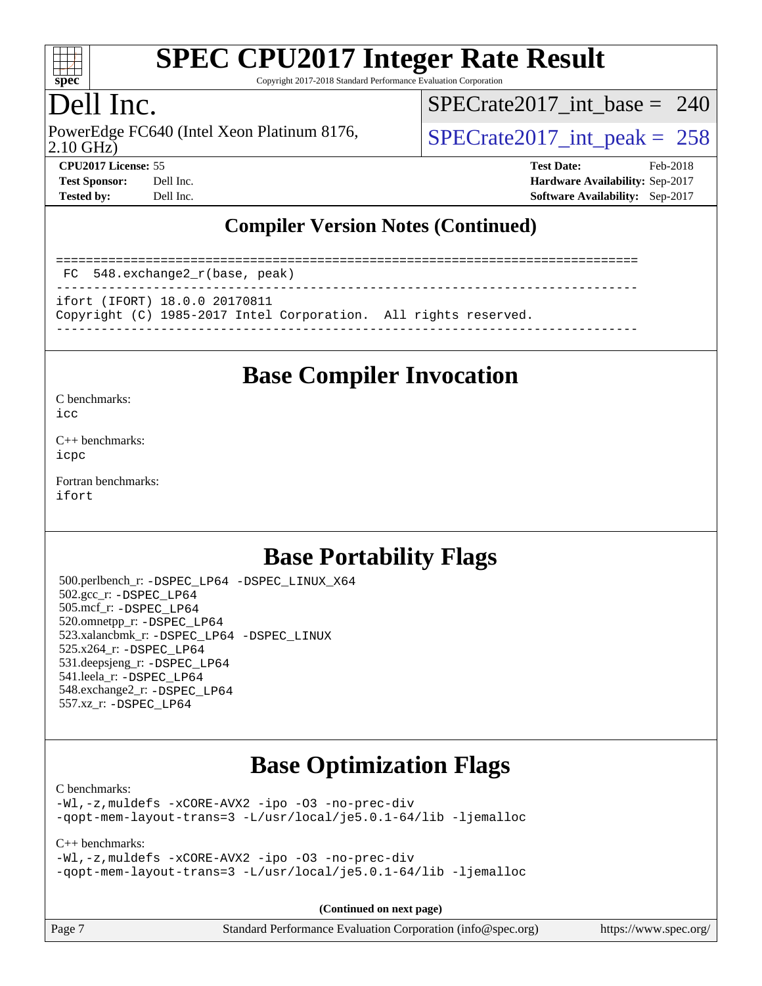

Copyright 2017-2018 Standard Performance Evaluation Corporation

### Dell Inc.

PowerEdge FC640 (Intel Xeon Platinum 8176,<br>2.10 GHz)

[SPECrate2017\\_int\\_base =](http://www.spec.org/auto/cpu2017/Docs/result-fields.html#SPECrate2017intbase) 240

 $SPECrate2017\_int\_peak = 258$ **[CPU2017 License:](http://www.spec.org/auto/cpu2017/Docs/result-fields.html#CPU2017License)** 55 **[Test Date:](http://www.spec.org/auto/cpu2017/Docs/result-fields.html#TestDate)** Feb-2018

**[Test Sponsor:](http://www.spec.org/auto/cpu2017/Docs/result-fields.html#TestSponsor)** Dell Inc. **[Hardware Availability:](http://www.spec.org/auto/cpu2017/Docs/result-fields.html#HardwareAvailability)** Sep-2017 **[Tested by:](http://www.spec.org/auto/cpu2017/Docs/result-fields.html#Testedby)** Dell Inc. **[Software Availability:](http://www.spec.org/auto/cpu2017/Docs/result-fields.html#SoftwareAvailability)** Sep-2017

### **[Compiler Version Notes \(Continued\)](http://www.spec.org/auto/cpu2017/Docs/result-fields.html#CompilerVersionNotes)**

============================================================================== FC 548.exchange2\_r(base, peak) ----------------------------------------------------------------------------- ifort (IFORT) 18.0.0 20170811 Copyright (C) 1985-2017 Intel Corporation. All rights reserved. ------------------------------------------------------------------------------

### **[Base Compiler Invocation](http://www.spec.org/auto/cpu2017/Docs/result-fields.html#BaseCompilerInvocation)**

[C benchmarks](http://www.spec.org/auto/cpu2017/Docs/result-fields.html#Cbenchmarks):

[icc](http://www.spec.org/cpu2017/results/res2018q1/cpu2017-20180305-03849.flags.html#user_CCbase_intel_icc_18.0_66fc1ee009f7361af1fbd72ca7dcefbb700085f36577c54f309893dd4ec40d12360134090235512931783d35fd58c0460139e722d5067c5574d8eaf2b3e37e92)

[C++ benchmarks:](http://www.spec.org/auto/cpu2017/Docs/result-fields.html#CXXbenchmarks) [icpc](http://www.spec.org/cpu2017/results/res2018q1/cpu2017-20180305-03849.flags.html#user_CXXbase_intel_icpc_18.0_c510b6838c7f56d33e37e94d029a35b4a7bccf4766a728ee175e80a419847e808290a9b78be685c44ab727ea267ec2f070ec5dc83b407c0218cded6866a35d07)

[Fortran benchmarks](http://www.spec.org/auto/cpu2017/Docs/result-fields.html#Fortranbenchmarks): [ifort](http://www.spec.org/cpu2017/results/res2018q1/cpu2017-20180305-03849.flags.html#user_FCbase_intel_ifort_18.0_8111460550e3ca792625aed983ce982f94888b8b503583aa7ba2b8303487b4d8a21a13e7191a45c5fd58ff318f48f9492884d4413fa793fd88dd292cad7027ca)

### **[Base Portability Flags](http://www.spec.org/auto/cpu2017/Docs/result-fields.html#BasePortabilityFlags)**

 500.perlbench\_r: [-DSPEC\\_LP64](http://www.spec.org/cpu2017/results/res2018q1/cpu2017-20180305-03849.flags.html#b500.perlbench_r_basePORTABILITY_DSPEC_LP64) [-DSPEC\\_LINUX\\_X64](http://www.spec.org/cpu2017/results/res2018q1/cpu2017-20180305-03849.flags.html#b500.perlbench_r_baseCPORTABILITY_DSPEC_LINUX_X64) 502.gcc\_r: [-DSPEC\\_LP64](http://www.spec.org/cpu2017/results/res2018q1/cpu2017-20180305-03849.flags.html#suite_basePORTABILITY502_gcc_r_DSPEC_LP64) 505.mcf\_r: [-DSPEC\\_LP64](http://www.spec.org/cpu2017/results/res2018q1/cpu2017-20180305-03849.flags.html#suite_basePORTABILITY505_mcf_r_DSPEC_LP64) 520.omnetpp\_r: [-DSPEC\\_LP64](http://www.spec.org/cpu2017/results/res2018q1/cpu2017-20180305-03849.flags.html#suite_basePORTABILITY520_omnetpp_r_DSPEC_LP64) 523.xalancbmk\_r: [-DSPEC\\_LP64](http://www.spec.org/cpu2017/results/res2018q1/cpu2017-20180305-03849.flags.html#suite_basePORTABILITY523_xalancbmk_r_DSPEC_LP64) [-DSPEC\\_LINUX](http://www.spec.org/cpu2017/results/res2018q1/cpu2017-20180305-03849.flags.html#b523.xalancbmk_r_baseCXXPORTABILITY_DSPEC_LINUX) 525.x264\_r: [-DSPEC\\_LP64](http://www.spec.org/cpu2017/results/res2018q1/cpu2017-20180305-03849.flags.html#suite_basePORTABILITY525_x264_r_DSPEC_LP64) 531.deepsjeng\_r: [-DSPEC\\_LP64](http://www.spec.org/cpu2017/results/res2018q1/cpu2017-20180305-03849.flags.html#suite_basePORTABILITY531_deepsjeng_r_DSPEC_LP64) 541.leela\_r: [-DSPEC\\_LP64](http://www.spec.org/cpu2017/results/res2018q1/cpu2017-20180305-03849.flags.html#suite_basePORTABILITY541_leela_r_DSPEC_LP64) 548.exchange2\_r: [-DSPEC\\_LP64](http://www.spec.org/cpu2017/results/res2018q1/cpu2017-20180305-03849.flags.html#suite_basePORTABILITY548_exchange2_r_DSPEC_LP64) 557.xz\_r: [-DSPEC\\_LP64](http://www.spec.org/cpu2017/results/res2018q1/cpu2017-20180305-03849.flags.html#suite_basePORTABILITY557_xz_r_DSPEC_LP64)

### **[Base Optimization Flags](http://www.spec.org/auto/cpu2017/Docs/result-fields.html#BaseOptimizationFlags)**

[C benchmarks](http://www.spec.org/auto/cpu2017/Docs/result-fields.html#Cbenchmarks):

[-Wl,-z,muldefs](http://www.spec.org/cpu2017/results/res2018q1/cpu2017-20180305-03849.flags.html#user_CCbase_link_force_multiple1_b4cbdb97b34bdee9ceefcfe54f4c8ea74255f0b02a4b23e853cdb0e18eb4525ac79b5a88067c842dd0ee6996c24547a27a4b99331201badda8798ef8a743f577) [-xCORE-AVX2](http://www.spec.org/cpu2017/results/res2018q1/cpu2017-20180305-03849.flags.html#user_CCbase_f-xCORE-AVX2) [-ipo](http://www.spec.org/cpu2017/results/res2018q1/cpu2017-20180305-03849.flags.html#user_CCbase_f-ipo) [-O3](http://www.spec.org/cpu2017/results/res2018q1/cpu2017-20180305-03849.flags.html#user_CCbase_f-O3) [-no-prec-div](http://www.spec.org/cpu2017/results/res2018q1/cpu2017-20180305-03849.flags.html#user_CCbase_f-no-prec-div) [-qopt-mem-layout-trans=3](http://www.spec.org/cpu2017/results/res2018q1/cpu2017-20180305-03849.flags.html#user_CCbase_f-qopt-mem-layout-trans_de80db37974c74b1f0e20d883f0b675c88c3b01e9d123adea9b28688d64333345fb62bc4a798493513fdb68f60282f9a726aa07f478b2f7113531aecce732043) [-L/usr/local/je5.0.1-64/lib](http://www.spec.org/cpu2017/results/res2018q1/cpu2017-20180305-03849.flags.html#user_CCbase_jemalloc_link_path64_4b10a636b7bce113509b17f3bd0d6226c5fb2346b9178c2d0232c14f04ab830f976640479e5c33dc2bcbbdad86ecfb6634cbbd4418746f06f368b512fced5394) [-ljemalloc](http://www.spec.org/cpu2017/results/res2018q1/cpu2017-20180305-03849.flags.html#user_CCbase_jemalloc_link_lib_d1249b907c500fa1c0672f44f562e3d0f79738ae9e3c4a9c376d49f265a04b9c99b167ecedbf6711b3085be911c67ff61f150a17b3472be731631ba4d0471706)

[C++ benchmarks:](http://www.spec.org/auto/cpu2017/Docs/result-fields.html#CXXbenchmarks)

[-Wl,-z,muldefs](http://www.spec.org/cpu2017/results/res2018q1/cpu2017-20180305-03849.flags.html#user_CXXbase_link_force_multiple1_b4cbdb97b34bdee9ceefcfe54f4c8ea74255f0b02a4b23e853cdb0e18eb4525ac79b5a88067c842dd0ee6996c24547a27a4b99331201badda8798ef8a743f577) [-xCORE-AVX2](http://www.spec.org/cpu2017/results/res2018q1/cpu2017-20180305-03849.flags.html#user_CXXbase_f-xCORE-AVX2) [-ipo](http://www.spec.org/cpu2017/results/res2018q1/cpu2017-20180305-03849.flags.html#user_CXXbase_f-ipo) [-O3](http://www.spec.org/cpu2017/results/res2018q1/cpu2017-20180305-03849.flags.html#user_CXXbase_f-O3) [-no-prec-div](http://www.spec.org/cpu2017/results/res2018q1/cpu2017-20180305-03849.flags.html#user_CXXbase_f-no-prec-div) [-qopt-mem-layout-trans=3](http://www.spec.org/cpu2017/results/res2018q1/cpu2017-20180305-03849.flags.html#user_CXXbase_f-qopt-mem-layout-trans_de80db37974c74b1f0e20d883f0b675c88c3b01e9d123adea9b28688d64333345fb62bc4a798493513fdb68f60282f9a726aa07f478b2f7113531aecce732043) [-L/usr/local/je5.0.1-64/lib](http://www.spec.org/cpu2017/results/res2018q1/cpu2017-20180305-03849.flags.html#user_CXXbase_jemalloc_link_path64_4b10a636b7bce113509b17f3bd0d6226c5fb2346b9178c2d0232c14f04ab830f976640479e5c33dc2bcbbdad86ecfb6634cbbd4418746f06f368b512fced5394) [-ljemalloc](http://www.spec.org/cpu2017/results/res2018q1/cpu2017-20180305-03849.flags.html#user_CXXbase_jemalloc_link_lib_d1249b907c500fa1c0672f44f562e3d0f79738ae9e3c4a9c376d49f265a04b9c99b167ecedbf6711b3085be911c67ff61f150a17b3472be731631ba4d0471706)

**(Continued on next page)**

Page 7 Standard Performance Evaluation Corporation [\(info@spec.org\)](mailto:info@spec.org) <https://www.spec.org/>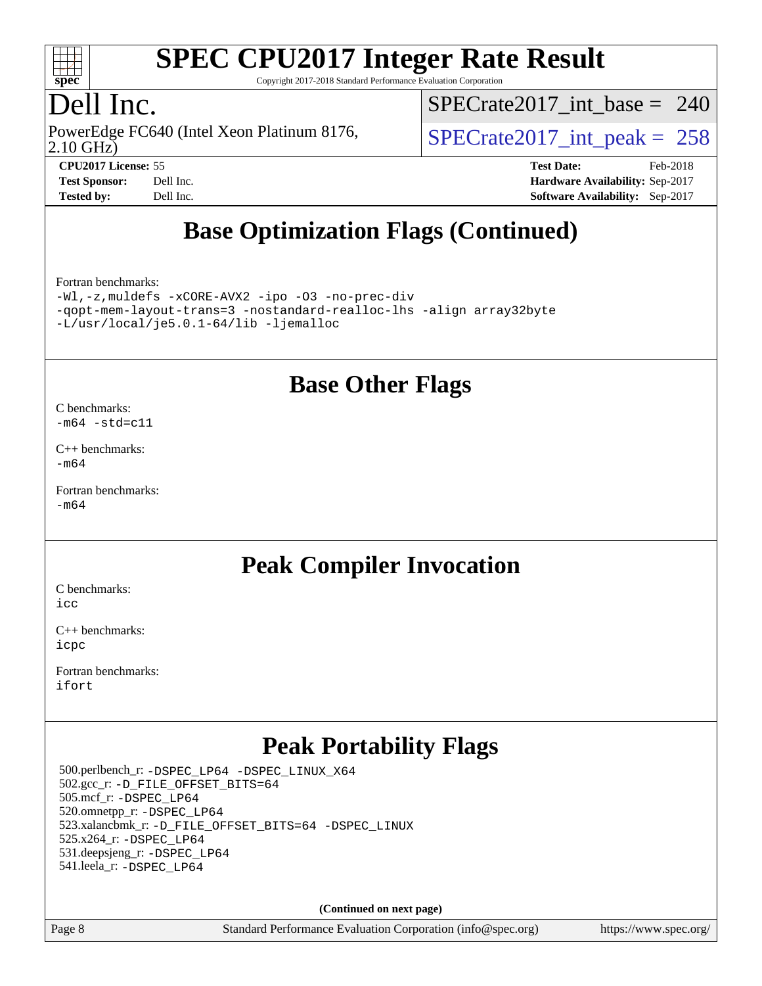

Copyright 2017-2018 Standard Performance Evaluation Corporation

## Dell Inc.

2.10 GHz) PowerEdge FC640 (Intel Xeon Platinum 8176,  $\vert$  [SPECrate2017\\_int\\_peak =](http://www.spec.org/auto/cpu2017/Docs/result-fields.html#SPECrate2017intpeak) 258

[SPECrate2017\\_int\\_base =](http://www.spec.org/auto/cpu2017/Docs/result-fields.html#SPECrate2017intbase) 240

**[CPU2017 License:](http://www.spec.org/auto/cpu2017/Docs/result-fields.html#CPU2017License)** 55 **[Test Date:](http://www.spec.org/auto/cpu2017/Docs/result-fields.html#TestDate)** Feb-2018 **[Test Sponsor:](http://www.spec.org/auto/cpu2017/Docs/result-fields.html#TestSponsor)** Dell Inc. **[Hardware Availability:](http://www.spec.org/auto/cpu2017/Docs/result-fields.html#HardwareAvailability)** Sep-2017 **[Tested by:](http://www.spec.org/auto/cpu2017/Docs/result-fields.html#Testedby)** Dell Inc. **[Software Availability:](http://www.spec.org/auto/cpu2017/Docs/result-fields.html#SoftwareAvailability)** Sep-2017

## **[Base Optimization Flags \(Continued\)](http://www.spec.org/auto/cpu2017/Docs/result-fields.html#BaseOptimizationFlags)**

[Fortran benchmarks](http://www.spec.org/auto/cpu2017/Docs/result-fields.html#Fortranbenchmarks):

[-Wl,-z,muldefs](http://www.spec.org/cpu2017/results/res2018q1/cpu2017-20180305-03849.flags.html#user_FCbase_link_force_multiple1_b4cbdb97b34bdee9ceefcfe54f4c8ea74255f0b02a4b23e853cdb0e18eb4525ac79b5a88067c842dd0ee6996c24547a27a4b99331201badda8798ef8a743f577) [-xCORE-AVX2](http://www.spec.org/cpu2017/results/res2018q1/cpu2017-20180305-03849.flags.html#user_FCbase_f-xCORE-AVX2) [-ipo](http://www.spec.org/cpu2017/results/res2018q1/cpu2017-20180305-03849.flags.html#user_FCbase_f-ipo) [-O3](http://www.spec.org/cpu2017/results/res2018q1/cpu2017-20180305-03849.flags.html#user_FCbase_f-O3) [-no-prec-div](http://www.spec.org/cpu2017/results/res2018q1/cpu2017-20180305-03849.flags.html#user_FCbase_f-no-prec-div) [-qopt-mem-layout-trans=3](http://www.spec.org/cpu2017/results/res2018q1/cpu2017-20180305-03849.flags.html#user_FCbase_f-qopt-mem-layout-trans_de80db37974c74b1f0e20d883f0b675c88c3b01e9d123adea9b28688d64333345fb62bc4a798493513fdb68f60282f9a726aa07f478b2f7113531aecce732043) [-nostandard-realloc-lhs](http://www.spec.org/cpu2017/results/res2018q1/cpu2017-20180305-03849.flags.html#user_FCbase_f_2003_std_realloc_82b4557e90729c0f113870c07e44d33d6f5a304b4f63d4c15d2d0f1fab99f5daaed73bdb9275d9ae411527f28b936061aa8b9c8f2d63842963b95c9dd6426b8a) [-align array32byte](http://www.spec.org/cpu2017/results/res2018q1/cpu2017-20180305-03849.flags.html#user_FCbase_align_array32byte_b982fe038af199962ba9a80c053b8342c548c85b40b8e86eb3cc33dee0d7986a4af373ac2d51c3f7cf710a18d62fdce2948f201cd044323541f22fc0fffc51b6) [-L/usr/local/je5.0.1-64/lib](http://www.spec.org/cpu2017/results/res2018q1/cpu2017-20180305-03849.flags.html#user_FCbase_jemalloc_link_path64_4b10a636b7bce113509b17f3bd0d6226c5fb2346b9178c2d0232c14f04ab830f976640479e5c33dc2bcbbdad86ecfb6634cbbd4418746f06f368b512fced5394) [-ljemalloc](http://www.spec.org/cpu2017/results/res2018q1/cpu2017-20180305-03849.flags.html#user_FCbase_jemalloc_link_lib_d1249b907c500fa1c0672f44f562e3d0f79738ae9e3c4a9c376d49f265a04b9c99b167ecedbf6711b3085be911c67ff61f150a17b3472be731631ba4d0471706)

### **[Base Other Flags](http://www.spec.org/auto/cpu2017/Docs/result-fields.html#BaseOtherFlags)**

[C benchmarks](http://www.spec.org/auto/cpu2017/Docs/result-fields.html#Cbenchmarks):

 $-m64 - std= c11$  $-m64 - std= c11$ 

[C++ benchmarks:](http://www.spec.org/auto/cpu2017/Docs/result-fields.html#CXXbenchmarks) [-m64](http://www.spec.org/cpu2017/results/res2018q1/cpu2017-20180305-03849.flags.html#user_CXXbase_intel_intel64_18.0_af43caccfc8ded86e7699f2159af6efc7655f51387b94da716254467f3c01020a5059329e2569e4053f409e7c9202a7efc638f7a6d1ffb3f52dea4a3e31d82ab)

[Fortran benchmarks](http://www.spec.org/auto/cpu2017/Docs/result-fields.html#Fortranbenchmarks):  $-m64$ 

### **[Peak Compiler Invocation](http://www.spec.org/auto/cpu2017/Docs/result-fields.html#PeakCompilerInvocation)**

[C benchmarks](http://www.spec.org/auto/cpu2017/Docs/result-fields.html#Cbenchmarks): [icc](http://www.spec.org/cpu2017/results/res2018q1/cpu2017-20180305-03849.flags.html#user_CCpeak_intel_icc_18.0_66fc1ee009f7361af1fbd72ca7dcefbb700085f36577c54f309893dd4ec40d12360134090235512931783d35fd58c0460139e722d5067c5574d8eaf2b3e37e92)

[C++ benchmarks:](http://www.spec.org/auto/cpu2017/Docs/result-fields.html#CXXbenchmarks) [icpc](http://www.spec.org/cpu2017/results/res2018q1/cpu2017-20180305-03849.flags.html#user_CXXpeak_intel_icpc_18.0_c510b6838c7f56d33e37e94d029a35b4a7bccf4766a728ee175e80a419847e808290a9b78be685c44ab727ea267ec2f070ec5dc83b407c0218cded6866a35d07)

[Fortran benchmarks](http://www.spec.org/auto/cpu2017/Docs/result-fields.html#Fortranbenchmarks): [ifort](http://www.spec.org/cpu2017/results/res2018q1/cpu2017-20180305-03849.flags.html#user_FCpeak_intel_ifort_18.0_8111460550e3ca792625aed983ce982f94888b8b503583aa7ba2b8303487b4d8a21a13e7191a45c5fd58ff318f48f9492884d4413fa793fd88dd292cad7027ca)

## **[Peak Portability Flags](http://www.spec.org/auto/cpu2017/Docs/result-fields.html#PeakPortabilityFlags)**

 500.perlbench\_r: [-DSPEC\\_LP64](http://www.spec.org/cpu2017/results/res2018q1/cpu2017-20180305-03849.flags.html#b500.perlbench_r_peakPORTABILITY_DSPEC_LP64) [-DSPEC\\_LINUX\\_X64](http://www.spec.org/cpu2017/results/res2018q1/cpu2017-20180305-03849.flags.html#b500.perlbench_r_peakCPORTABILITY_DSPEC_LINUX_X64) 502.gcc\_r: [-D\\_FILE\\_OFFSET\\_BITS=64](http://www.spec.org/cpu2017/results/res2018q1/cpu2017-20180305-03849.flags.html#user_peakPORTABILITY502_gcc_r_file_offset_bits_64_5ae949a99b284ddf4e95728d47cb0843d81b2eb0e18bdfe74bbf0f61d0b064f4bda2f10ea5eb90e1dcab0e84dbc592acfc5018bc955c18609f94ddb8d550002c) 505.mcf\_r: [-DSPEC\\_LP64](http://www.spec.org/cpu2017/results/res2018q1/cpu2017-20180305-03849.flags.html#suite_peakPORTABILITY505_mcf_r_DSPEC_LP64) 520.omnetpp\_r: [-DSPEC\\_LP64](http://www.spec.org/cpu2017/results/res2018q1/cpu2017-20180305-03849.flags.html#suite_peakPORTABILITY520_omnetpp_r_DSPEC_LP64) 523.xalancbmk\_r: [-D\\_FILE\\_OFFSET\\_BITS=64](http://www.spec.org/cpu2017/results/res2018q1/cpu2017-20180305-03849.flags.html#user_peakPORTABILITY523_xalancbmk_r_file_offset_bits_64_5ae949a99b284ddf4e95728d47cb0843d81b2eb0e18bdfe74bbf0f61d0b064f4bda2f10ea5eb90e1dcab0e84dbc592acfc5018bc955c18609f94ddb8d550002c) [-DSPEC\\_LINUX](http://www.spec.org/cpu2017/results/res2018q1/cpu2017-20180305-03849.flags.html#b523.xalancbmk_r_peakCXXPORTABILITY_DSPEC_LINUX) 525.x264\_r: [-DSPEC\\_LP64](http://www.spec.org/cpu2017/results/res2018q1/cpu2017-20180305-03849.flags.html#suite_peakPORTABILITY525_x264_r_DSPEC_LP64) 531.deepsjeng\_r: [-DSPEC\\_LP64](http://www.spec.org/cpu2017/results/res2018q1/cpu2017-20180305-03849.flags.html#suite_peakPORTABILITY531_deepsjeng_r_DSPEC_LP64) 541.leela\_r: [-DSPEC\\_LP64](http://www.spec.org/cpu2017/results/res2018q1/cpu2017-20180305-03849.flags.html#suite_peakPORTABILITY541_leela_r_DSPEC_LP64)

**(Continued on next page)**

Page 8 Standard Performance Evaluation Corporation [\(info@spec.org\)](mailto:info@spec.org) <https://www.spec.org/>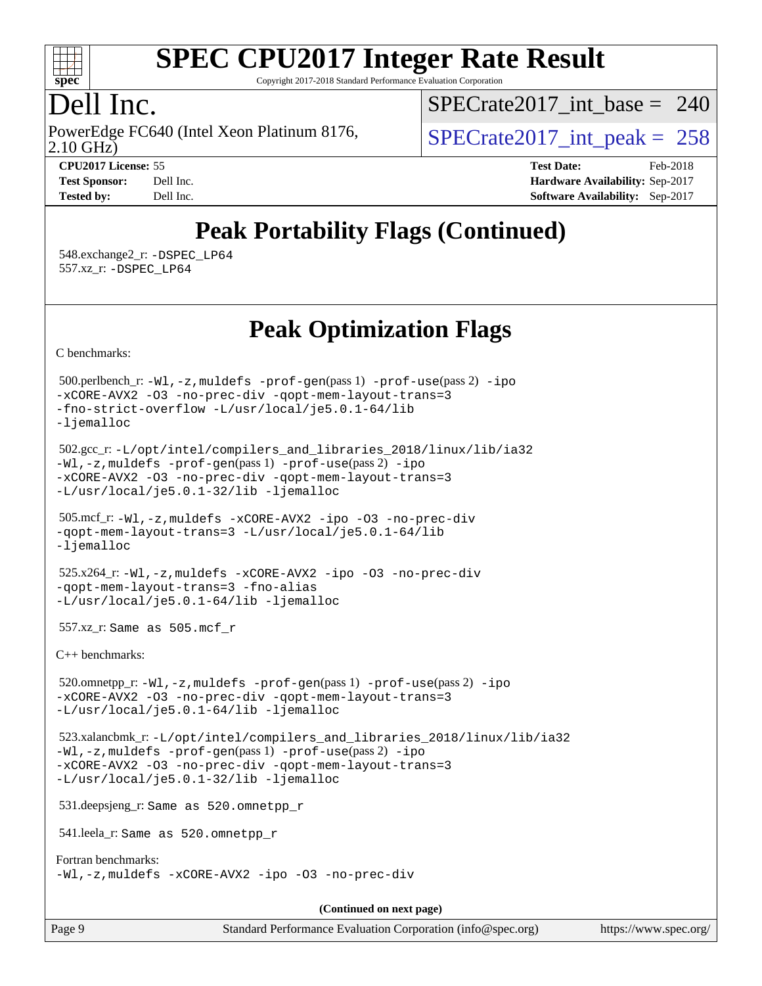

Copyright 2017-2018 Standard Performance Evaluation Corporation

### Dell Inc.

2.10 GHz) PowerEdge FC640 (Intel Xeon Platinum 8176,  $\vert$  [SPECrate2017\\_int\\_peak =](http://www.spec.org/auto/cpu2017/Docs/result-fields.html#SPECrate2017intpeak) 258

 $SPECrate2017\_int\_base = 240$ 

**[CPU2017 License:](http://www.spec.org/auto/cpu2017/Docs/result-fields.html#CPU2017License)** 55 **[Test Date:](http://www.spec.org/auto/cpu2017/Docs/result-fields.html#TestDate)** Feb-2018 **[Test Sponsor:](http://www.spec.org/auto/cpu2017/Docs/result-fields.html#TestSponsor)** Dell Inc. **[Hardware Availability:](http://www.spec.org/auto/cpu2017/Docs/result-fields.html#HardwareAvailability)** Sep-2017 **[Tested by:](http://www.spec.org/auto/cpu2017/Docs/result-fields.html#Testedby)** Dell Inc. **[Software Availability:](http://www.spec.org/auto/cpu2017/Docs/result-fields.html#SoftwareAvailability)** Sep-2017

## **[Peak Portability Flags \(Continued\)](http://www.spec.org/auto/cpu2017/Docs/result-fields.html#PeakPortabilityFlags)**

 548.exchange2\_r: [-DSPEC\\_LP64](http://www.spec.org/cpu2017/results/res2018q1/cpu2017-20180305-03849.flags.html#suite_peakPORTABILITY548_exchange2_r_DSPEC_LP64) 557.xz\_r: [-DSPEC\\_LP64](http://www.spec.org/cpu2017/results/res2018q1/cpu2017-20180305-03849.flags.html#suite_peakPORTABILITY557_xz_r_DSPEC_LP64)

**[Peak Optimization Flags](http://www.spec.org/auto/cpu2017/Docs/result-fields.html#PeakOptimizationFlags)**

[C benchmarks](http://www.spec.org/auto/cpu2017/Docs/result-fields.html#Cbenchmarks):

 500.perlbench\_r: [-Wl,-z,muldefs](http://www.spec.org/cpu2017/results/res2018q1/cpu2017-20180305-03849.flags.html#user_peakEXTRA_LDFLAGS500_perlbench_r_link_force_multiple1_b4cbdb97b34bdee9ceefcfe54f4c8ea74255f0b02a4b23e853cdb0e18eb4525ac79b5a88067c842dd0ee6996c24547a27a4b99331201badda8798ef8a743f577) [-prof-gen](http://www.spec.org/cpu2017/results/res2018q1/cpu2017-20180305-03849.flags.html#user_peakPASS1_CFLAGSPASS1_LDFLAGS500_perlbench_r_prof_gen_5aa4926d6013ddb2a31985c654b3eb18169fc0c6952a63635c234f711e6e63dd76e94ad52365559451ec499a2cdb89e4dc58ba4c67ef54ca681ffbe1461d6b36)(pass 1) [-prof-use](http://www.spec.org/cpu2017/results/res2018q1/cpu2017-20180305-03849.flags.html#user_peakPASS2_CFLAGSPASS2_LDFLAGS500_perlbench_r_prof_use_1a21ceae95f36a2b53c25747139a6c16ca95bd9def2a207b4f0849963b97e94f5260e30a0c64f4bb623698870e679ca08317ef8150905d41bd88c6f78df73f19)(pass 2) [-ipo](http://www.spec.org/cpu2017/results/res2018q1/cpu2017-20180305-03849.flags.html#user_peakPASS1_COPTIMIZEPASS2_COPTIMIZE500_perlbench_r_f-ipo) [-xCORE-AVX2](http://www.spec.org/cpu2017/results/res2018q1/cpu2017-20180305-03849.flags.html#user_peakPASS2_COPTIMIZE500_perlbench_r_f-xCORE-AVX2) [-O3](http://www.spec.org/cpu2017/results/res2018q1/cpu2017-20180305-03849.flags.html#user_peakPASS1_COPTIMIZEPASS2_COPTIMIZE500_perlbench_r_f-O3) [-no-prec-div](http://www.spec.org/cpu2017/results/res2018q1/cpu2017-20180305-03849.flags.html#user_peakPASS1_COPTIMIZEPASS2_COPTIMIZE500_perlbench_r_f-no-prec-div) [-qopt-mem-layout-trans=3](http://www.spec.org/cpu2017/results/res2018q1/cpu2017-20180305-03849.flags.html#user_peakPASS1_COPTIMIZEPASS2_COPTIMIZE500_perlbench_r_f-qopt-mem-layout-trans_de80db37974c74b1f0e20d883f0b675c88c3b01e9d123adea9b28688d64333345fb62bc4a798493513fdb68f60282f9a726aa07f478b2f7113531aecce732043) [-fno-strict-overflow](http://www.spec.org/cpu2017/results/res2018q1/cpu2017-20180305-03849.flags.html#user_peakEXTRA_OPTIMIZE500_perlbench_r_f-fno-strict-overflow) [-L/usr/local/je5.0.1-64/lib](http://www.spec.org/cpu2017/results/res2018q1/cpu2017-20180305-03849.flags.html#user_peakEXTRA_LIBS500_perlbench_r_jemalloc_link_path64_4b10a636b7bce113509b17f3bd0d6226c5fb2346b9178c2d0232c14f04ab830f976640479e5c33dc2bcbbdad86ecfb6634cbbd4418746f06f368b512fced5394) [-ljemalloc](http://www.spec.org/cpu2017/results/res2018q1/cpu2017-20180305-03849.flags.html#user_peakEXTRA_LIBS500_perlbench_r_jemalloc_link_lib_d1249b907c500fa1c0672f44f562e3d0f79738ae9e3c4a9c376d49f265a04b9c99b167ecedbf6711b3085be911c67ff61f150a17b3472be731631ba4d0471706) 502.gcc\_r: [-L/opt/intel/compilers\\_and\\_libraries\\_2018/linux/lib/ia32](http://www.spec.org/cpu2017/results/res2018q1/cpu2017-20180305-03849.flags.html#user_peakCCLD502_gcc_r_Enable-32bit-runtime_af243bdb1d79e4c7a4f720bf8275e627de2ecd461de63307bc14cef0633fde3cd7bb2facb32dcc8be9566045fb55d40ce2b72b725f73827aa7833441b71b9343) [-Wl,-z,muldefs](http://www.spec.org/cpu2017/results/res2018q1/cpu2017-20180305-03849.flags.html#user_peakEXTRA_LDFLAGS502_gcc_r_link_force_multiple1_b4cbdb97b34bdee9ceefcfe54f4c8ea74255f0b02a4b23e853cdb0e18eb4525ac79b5a88067c842dd0ee6996c24547a27a4b99331201badda8798ef8a743f577) [-prof-gen](http://www.spec.org/cpu2017/results/res2018q1/cpu2017-20180305-03849.flags.html#user_peakPASS1_CFLAGSPASS1_LDFLAGS502_gcc_r_prof_gen_5aa4926d6013ddb2a31985c654b3eb18169fc0c6952a63635c234f711e6e63dd76e94ad52365559451ec499a2cdb89e4dc58ba4c67ef54ca681ffbe1461d6b36)(pass 1) [-prof-use](http://www.spec.org/cpu2017/results/res2018q1/cpu2017-20180305-03849.flags.html#user_peakPASS2_CFLAGSPASS2_LDFLAGS502_gcc_r_prof_use_1a21ceae95f36a2b53c25747139a6c16ca95bd9def2a207b4f0849963b97e94f5260e30a0c64f4bb623698870e679ca08317ef8150905d41bd88c6f78df73f19)(pass 2) [-ipo](http://www.spec.org/cpu2017/results/res2018q1/cpu2017-20180305-03849.flags.html#user_peakPASS1_COPTIMIZEPASS2_COPTIMIZE502_gcc_r_f-ipo) [-xCORE-AVX2](http://www.spec.org/cpu2017/results/res2018q1/cpu2017-20180305-03849.flags.html#user_peakPASS2_COPTIMIZE502_gcc_r_f-xCORE-AVX2) [-O3](http://www.spec.org/cpu2017/results/res2018q1/cpu2017-20180305-03849.flags.html#user_peakPASS1_COPTIMIZEPASS2_COPTIMIZE502_gcc_r_f-O3) [-no-prec-div](http://www.spec.org/cpu2017/results/res2018q1/cpu2017-20180305-03849.flags.html#user_peakPASS1_COPTIMIZEPASS2_COPTIMIZE502_gcc_r_f-no-prec-div) [-qopt-mem-layout-trans=3](http://www.spec.org/cpu2017/results/res2018q1/cpu2017-20180305-03849.flags.html#user_peakPASS1_COPTIMIZEPASS2_COPTIMIZE502_gcc_r_f-qopt-mem-layout-trans_de80db37974c74b1f0e20d883f0b675c88c3b01e9d123adea9b28688d64333345fb62bc4a798493513fdb68f60282f9a726aa07f478b2f7113531aecce732043) [-L/usr/local/je5.0.1-32/lib](http://www.spec.org/cpu2017/results/res2018q1/cpu2017-20180305-03849.flags.html#user_peakEXTRA_LIBS502_gcc_r_jemalloc_link_path32_e29f22e8e6c17053bbc6a0971f5a9c01a601a06bb1a59df2084b77a2fe0a2995b64fd4256feaeea39eeba3aae142e96e2b2b0a28974019c0c0c88139a84f900a) [-ljemalloc](http://www.spec.org/cpu2017/results/res2018q1/cpu2017-20180305-03849.flags.html#user_peakEXTRA_LIBS502_gcc_r_jemalloc_link_lib_d1249b907c500fa1c0672f44f562e3d0f79738ae9e3c4a9c376d49f265a04b9c99b167ecedbf6711b3085be911c67ff61f150a17b3472be731631ba4d0471706) 505.mcf\_r: [-Wl,-z,muldefs](http://www.spec.org/cpu2017/results/res2018q1/cpu2017-20180305-03849.flags.html#user_peakEXTRA_LDFLAGS505_mcf_r_link_force_multiple1_b4cbdb97b34bdee9ceefcfe54f4c8ea74255f0b02a4b23e853cdb0e18eb4525ac79b5a88067c842dd0ee6996c24547a27a4b99331201badda8798ef8a743f577) [-xCORE-AVX2](http://www.spec.org/cpu2017/results/res2018q1/cpu2017-20180305-03849.flags.html#user_peakCOPTIMIZE505_mcf_r_f-xCORE-AVX2) [-ipo](http://www.spec.org/cpu2017/results/res2018q1/cpu2017-20180305-03849.flags.html#user_peakCOPTIMIZE505_mcf_r_f-ipo) [-O3](http://www.spec.org/cpu2017/results/res2018q1/cpu2017-20180305-03849.flags.html#user_peakCOPTIMIZE505_mcf_r_f-O3) [-no-prec-div](http://www.spec.org/cpu2017/results/res2018q1/cpu2017-20180305-03849.flags.html#user_peakCOPTIMIZE505_mcf_r_f-no-prec-div) [-qopt-mem-layout-trans=3](http://www.spec.org/cpu2017/results/res2018q1/cpu2017-20180305-03849.flags.html#user_peakCOPTIMIZE505_mcf_r_f-qopt-mem-layout-trans_de80db37974c74b1f0e20d883f0b675c88c3b01e9d123adea9b28688d64333345fb62bc4a798493513fdb68f60282f9a726aa07f478b2f7113531aecce732043) [-L/usr/local/je5.0.1-64/lib](http://www.spec.org/cpu2017/results/res2018q1/cpu2017-20180305-03849.flags.html#user_peakEXTRA_LIBS505_mcf_r_jemalloc_link_path64_4b10a636b7bce113509b17f3bd0d6226c5fb2346b9178c2d0232c14f04ab830f976640479e5c33dc2bcbbdad86ecfb6634cbbd4418746f06f368b512fced5394) [-ljemalloc](http://www.spec.org/cpu2017/results/res2018q1/cpu2017-20180305-03849.flags.html#user_peakEXTRA_LIBS505_mcf_r_jemalloc_link_lib_d1249b907c500fa1c0672f44f562e3d0f79738ae9e3c4a9c376d49f265a04b9c99b167ecedbf6711b3085be911c67ff61f150a17b3472be731631ba4d0471706) 525.x264\_r: [-Wl,-z,muldefs](http://www.spec.org/cpu2017/results/res2018q1/cpu2017-20180305-03849.flags.html#user_peakEXTRA_LDFLAGS525_x264_r_link_force_multiple1_b4cbdb97b34bdee9ceefcfe54f4c8ea74255f0b02a4b23e853cdb0e18eb4525ac79b5a88067c842dd0ee6996c24547a27a4b99331201badda8798ef8a743f577) [-xCORE-AVX2](http://www.spec.org/cpu2017/results/res2018q1/cpu2017-20180305-03849.flags.html#user_peakCOPTIMIZE525_x264_r_f-xCORE-AVX2) [-ipo](http://www.spec.org/cpu2017/results/res2018q1/cpu2017-20180305-03849.flags.html#user_peakCOPTIMIZE525_x264_r_f-ipo) [-O3](http://www.spec.org/cpu2017/results/res2018q1/cpu2017-20180305-03849.flags.html#user_peakCOPTIMIZE525_x264_r_f-O3) [-no-prec-div](http://www.spec.org/cpu2017/results/res2018q1/cpu2017-20180305-03849.flags.html#user_peakCOPTIMIZE525_x264_r_f-no-prec-div) [-qopt-mem-layout-trans=3](http://www.spec.org/cpu2017/results/res2018q1/cpu2017-20180305-03849.flags.html#user_peakCOPTIMIZE525_x264_r_f-qopt-mem-layout-trans_de80db37974c74b1f0e20d883f0b675c88c3b01e9d123adea9b28688d64333345fb62bc4a798493513fdb68f60282f9a726aa07f478b2f7113531aecce732043) [-fno-alias](http://www.spec.org/cpu2017/results/res2018q1/cpu2017-20180305-03849.flags.html#user_peakEXTRA_OPTIMIZE525_x264_r_f-no-alias_77dbac10d91cbfe898fbf4a29d1b29b694089caa623bdd1baccc9957d4edbe8d106c0b357e2748a65b44fc9e83d78098bb898077f3fe92f9faf24f7bd4a07ed7) [-L/usr/local/je5.0.1-64/lib](http://www.spec.org/cpu2017/results/res2018q1/cpu2017-20180305-03849.flags.html#user_peakEXTRA_LIBS525_x264_r_jemalloc_link_path64_4b10a636b7bce113509b17f3bd0d6226c5fb2346b9178c2d0232c14f04ab830f976640479e5c33dc2bcbbdad86ecfb6634cbbd4418746f06f368b512fced5394) [-ljemalloc](http://www.spec.org/cpu2017/results/res2018q1/cpu2017-20180305-03849.flags.html#user_peakEXTRA_LIBS525_x264_r_jemalloc_link_lib_d1249b907c500fa1c0672f44f562e3d0f79738ae9e3c4a9c376d49f265a04b9c99b167ecedbf6711b3085be911c67ff61f150a17b3472be731631ba4d0471706) 557.xz\_r: Same as 505.mcf\_r [C++ benchmarks:](http://www.spec.org/auto/cpu2017/Docs/result-fields.html#CXXbenchmarks) 520.omnetpp\_r: [-Wl,-z,muldefs](http://www.spec.org/cpu2017/results/res2018q1/cpu2017-20180305-03849.flags.html#user_peakEXTRA_LDFLAGS520_omnetpp_r_link_force_multiple1_b4cbdb97b34bdee9ceefcfe54f4c8ea74255f0b02a4b23e853cdb0e18eb4525ac79b5a88067c842dd0ee6996c24547a27a4b99331201badda8798ef8a743f577) [-prof-gen](http://www.spec.org/cpu2017/results/res2018q1/cpu2017-20180305-03849.flags.html#user_peakPASS1_CXXFLAGSPASS1_LDFLAGS520_omnetpp_r_prof_gen_5aa4926d6013ddb2a31985c654b3eb18169fc0c6952a63635c234f711e6e63dd76e94ad52365559451ec499a2cdb89e4dc58ba4c67ef54ca681ffbe1461d6b36)(pass 1) [-prof-use](http://www.spec.org/cpu2017/results/res2018q1/cpu2017-20180305-03849.flags.html#user_peakPASS2_CXXFLAGSPASS2_LDFLAGS520_omnetpp_r_prof_use_1a21ceae95f36a2b53c25747139a6c16ca95bd9def2a207b4f0849963b97e94f5260e30a0c64f4bb623698870e679ca08317ef8150905d41bd88c6f78df73f19)(pass 2) [-ipo](http://www.spec.org/cpu2017/results/res2018q1/cpu2017-20180305-03849.flags.html#user_peakPASS1_CXXOPTIMIZEPASS2_CXXOPTIMIZE520_omnetpp_r_f-ipo) [-xCORE-AVX2](http://www.spec.org/cpu2017/results/res2018q1/cpu2017-20180305-03849.flags.html#user_peakPASS2_CXXOPTIMIZE520_omnetpp_r_f-xCORE-AVX2) [-O3](http://www.spec.org/cpu2017/results/res2018q1/cpu2017-20180305-03849.flags.html#user_peakPASS1_CXXOPTIMIZEPASS2_CXXOPTIMIZE520_omnetpp_r_f-O3) [-no-prec-div](http://www.spec.org/cpu2017/results/res2018q1/cpu2017-20180305-03849.flags.html#user_peakPASS1_CXXOPTIMIZEPASS2_CXXOPTIMIZE520_omnetpp_r_f-no-prec-div) [-qopt-mem-layout-trans=3](http://www.spec.org/cpu2017/results/res2018q1/cpu2017-20180305-03849.flags.html#user_peakPASS1_CXXOPTIMIZEPASS2_CXXOPTIMIZE520_omnetpp_r_f-qopt-mem-layout-trans_de80db37974c74b1f0e20d883f0b675c88c3b01e9d123adea9b28688d64333345fb62bc4a798493513fdb68f60282f9a726aa07f478b2f7113531aecce732043) [-L/usr/local/je5.0.1-64/lib](http://www.spec.org/cpu2017/results/res2018q1/cpu2017-20180305-03849.flags.html#user_peakEXTRA_LIBS520_omnetpp_r_jemalloc_link_path64_4b10a636b7bce113509b17f3bd0d6226c5fb2346b9178c2d0232c14f04ab830f976640479e5c33dc2bcbbdad86ecfb6634cbbd4418746f06f368b512fced5394) [-ljemalloc](http://www.spec.org/cpu2017/results/res2018q1/cpu2017-20180305-03849.flags.html#user_peakEXTRA_LIBS520_omnetpp_r_jemalloc_link_lib_d1249b907c500fa1c0672f44f562e3d0f79738ae9e3c4a9c376d49f265a04b9c99b167ecedbf6711b3085be911c67ff61f150a17b3472be731631ba4d0471706) 523.xalancbmk\_r: [-L/opt/intel/compilers\\_and\\_libraries\\_2018/linux/lib/ia32](http://www.spec.org/cpu2017/results/res2018q1/cpu2017-20180305-03849.flags.html#user_peakCXXLD523_xalancbmk_r_Enable-32bit-runtime_af243bdb1d79e4c7a4f720bf8275e627de2ecd461de63307bc14cef0633fde3cd7bb2facb32dcc8be9566045fb55d40ce2b72b725f73827aa7833441b71b9343) [-Wl,-z,muldefs](http://www.spec.org/cpu2017/results/res2018q1/cpu2017-20180305-03849.flags.html#user_peakEXTRA_LDFLAGS523_xalancbmk_r_link_force_multiple1_b4cbdb97b34bdee9ceefcfe54f4c8ea74255f0b02a4b23e853cdb0e18eb4525ac79b5a88067c842dd0ee6996c24547a27a4b99331201badda8798ef8a743f577) [-prof-gen](http://www.spec.org/cpu2017/results/res2018q1/cpu2017-20180305-03849.flags.html#user_peakPASS1_CXXFLAGSPASS1_LDFLAGS523_xalancbmk_r_prof_gen_5aa4926d6013ddb2a31985c654b3eb18169fc0c6952a63635c234f711e6e63dd76e94ad52365559451ec499a2cdb89e4dc58ba4c67ef54ca681ffbe1461d6b36)(pass 1) [-prof-use](http://www.spec.org/cpu2017/results/res2018q1/cpu2017-20180305-03849.flags.html#user_peakPASS2_CXXFLAGSPASS2_LDFLAGS523_xalancbmk_r_prof_use_1a21ceae95f36a2b53c25747139a6c16ca95bd9def2a207b4f0849963b97e94f5260e30a0c64f4bb623698870e679ca08317ef8150905d41bd88c6f78df73f19)(pass 2) [-ipo](http://www.spec.org/cpu2017/results/res2018q1/cpu2017-20180305-03849.flags.html#user_peakPASS1_CXXOPTIMIZEPASS2_CXXOPTIMIZE523_xalancbmk_r_f-ipo) [-xCORE-AVX2](http://www.spec.org/cpu2017/results/res2018q1/cpu2017-20180305-03849.flags.html#user_peakPASS2_CXXOPTIMIZE523_xalancbmk_r_f-xCORE-AVX2) [-O3](http://www.spec.org/cpu2017/results/res2018q1/cpu2017-20180305-03849.flags.html#user_peakPASS1_CXXOPTIMIZEPASS2_CXXOPTIMIZE523_xalancbmk_r_f-O3) [-no-prec-div](http://www.spec.org/cpu2017/results/res2018q1/cpu2017-20180305-03849.flags.html#user_peakPASS1_CXXOPTIMIZEPASS2_CXXOPTIMIZE523_xalancbmk_r_f-no-prec-div) [-qopt-mem-layout-trans=3](http://www.spec.org/cpu2017/results/res2018q1/cpu2017-20180305-03849.flags.html#user_peakPASS1_CXXOPTIMIZEPASS2_CXXOPTIMIZE523_xalancbmk_r_f-qopt-mem-layout-trans_de80db37974c74b1f0e20d883f0b675c88c3b01e9d123adea9b28688d64333345fb62bc4a798493513fdb68f60282f9a726aa07f478b2f7113531aecce732043) [-L/usr/local/je5.0.1-32/lib](http://www.spec.org/cpu2017/results/res2018q1/cpu2017-20180305-03849.flags.html#user_peakEXTRA_LIBS523_xalancbmk_r_jemalloc_link_path32_e29f22e8e6c17053bbc6a0971f5a9c01a601a06bb1a59df2084b77a2fe0a2995b64fd4256feaeea39eeba3aae142e96e2b2b0a28974019c0c0c88139a84f900a) [-ljemalloc](http://www.spec.org/cpu2017/results/res2018q1/cpu2017-20180305-03849.flags.html#user_peakEXTRA_LIBS523_xalancbmk_r_jemalloc_link_lib_d1249b907c500fa1c0672f44f562e3d0f79738ae9e3c4a9c376d49f265a04b9c99b167ecedbf6711b3085be911c67ff61f150a17b3472be731631ba4d0471706) 531.deepsjeng\_r: Same as 520.omnetpp\_r 541.leela\_r: Same as 520.omnetpp\_r [Fortran benchmarks](http://www.spec.org/auto/cpu2017/Docs/result-fields.html#Fortranbenchmarks): [-Wl,-z,muldefs](http://www.spec.org/cpu2017/results/res2018q1/cpu2017-20180305-03849.flags.html#user_FCpeak_link_force_multiple1_b4cbdb97b34bdee9ceefcfe54f4c8ea74255f0b02a4b23e853cdb0e18eb4525ac79b5a88067c842dd0ee6996c24547a27a4b99331201badda8798ef8a743f577) [-xCORE-AVX2](http://www.spec.org/cpu2017/results/res2018q1/cpu2017-20180305-03849.flags.html#user_FCpeak_f-xCORE-AVX2) [-ipo](http://www.spec.org/cpu2017/results/res2018q1/cpu2017-20180305-03849.flags.html#user_FCpeak_f-ipo) [-O3](http://www.spec.org/cpu2017/results/res2018q1/cpu2017-20180305-03849.flags.html#user_FCpeak_f-O3) [-no-prec-div](http://www.spec.org/cpu2017/results/res2018q1/cpu2017-20180305-03849.flags.html#user_FCpeak_f-no-prec-div) **(Continued on next page)**